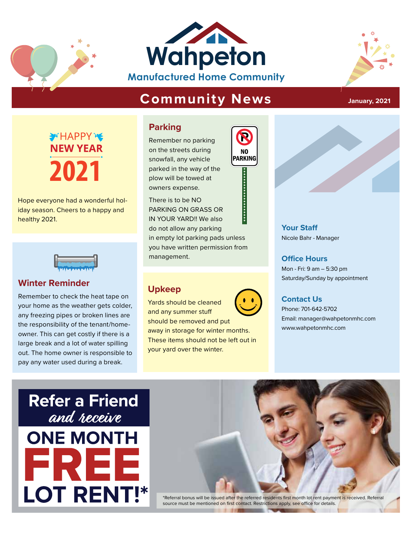





## **Community News January, 2021**

\*HAPPY **NEW YEAR 2021**

Hope everyone had a wonderful holiday season. Cheers to a happy and healthy 2021.



### **Winter Reminder**

Remember to check the heat tape on your home as the weather gets colder, any freezing pipes or broken lines are the responsibility of the tenant/homeowner. This can get costly if there is a large break and a lot of water spilling out. The home owner is responsible to pay any water used during a break.

### **Parking**

Remember no parking on the streets during snowfall, any vehicle parked in the way of the plow will be towed at owners expense.



**Pingty and Products on the Lakebeth School of the Lakebeth School of allow any parking<br>
do not allow any parking<br>
in empty lot parking pads unless<br>
you have written permission from<br>
management.<br>
<b>Pier Hours** There is to be NO PARKING ON GRASS OR IN YOUR YARD!! We also do not allow any parking in empty lot parking pads unless you have written permission from management.

### **Upkeep**

Yards should be cleaned and any summer stuff should be removed and put away in storage for winter months. These items should not be left out in your yard over the winter.



**Your Staff**

Nicole Bahr - Manager

### **Office Hours**

**Manufactured Home Community**<br>
Saturday/Sunday by appointment Mon - Fri: 9 am – 5:30 pm Saturday/Sunday by appointment

### **Contact Us**

Phone: 701-642-5702 Email: manager@wahpetonmhc.com www.wahpetonmhc.com

# **Refer a Friend** and receive **ONE MONTH** FREE **LOT RENT!\***



\*Referral bonus will be issued after the referred residents first month lot rent payment is received. Referral source must be mentioned on first contact. Restrictions apply, see office for details.